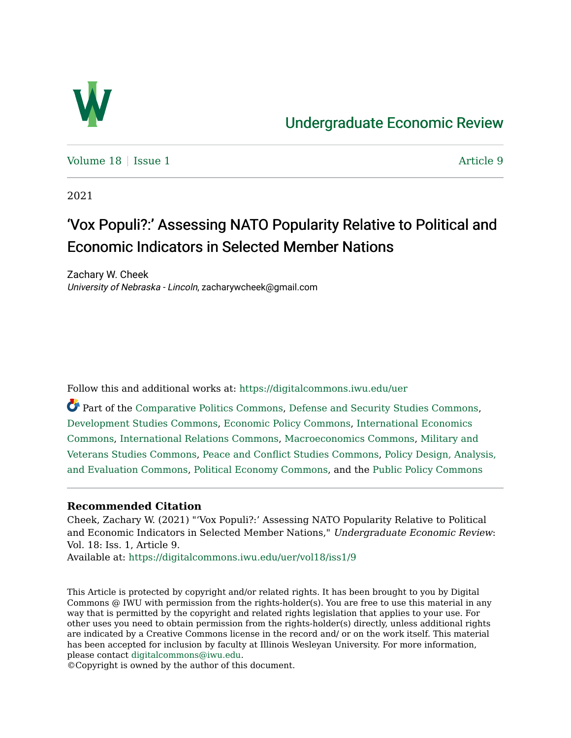

# [Undergraduate Economic Review](https://digitalcommons.iwu.edu/uer)

[Volume 18](https://digitalcommons.iwu.edu/uer/vol18) | [Issue 1](https://digitalcommons.iwu.edu/uer/vol18/iss1) Article 9

2021

# 'Vox Populi?:' Assessing NATO Popularity Relative to Political and Economic Indicators in Selected Member Nations

Zachary W. Cheek University of Nebraska - Lincoln, zacharywcheek@gmail.com

Follow this and additional works at: [https://digitalcommons.iwu.edu/uer](https://digitalcommons.iwu.edu/uer?utm_source=digitalcommons.iwu.edu%2Fuer%2Fvol18%2Fiss1%2F9&utm_medium=PDF&utm_campaign=PDFCoverPages)

Part of the [Comparative Politics Commons,](http://network.bepress.com/hgg/discipline/388?utm_source=digitalcommons.iwu.edu%2Fuer%2Fvol18%2Fiss1%2F9&utm_medium=PDF&utm_campaign=PDFCoverPages) [Defense and Security Studies Commons](http://network.bepress.com/hgg/discipline/394?utm_source=digitalcommons.iwu.edu%2Fuer%2Fvol18%2Fiss1%2F9&utm_medium=PDF&utm_campaign=PDFCoverPages), [Development Studies Commons,](http://network.bepress.com/hgg/discipline/1422?utm_source=digitalcommons.iwu.edu%2Fuer%2Fvol18%2Fiss1%2F9&utm_medium=PDF&utm_campaign=PDFCoverPages) [Economic Policy Commons](http://network.bepress.com/hgg/discipline/1025?utm_source=digitalcommons.iwu.edu%2Fuer%2Fvol18%2Fiss1%2F9&utm_medium=PDF&utm_campaign=PDFCoverPages), [International Economics](http://network.bepress.com/hgg/discipline/348?utm_source=digitalcommons.iwu.edu%2Fuer%2Fvol18%2Fiss1%2F9&utm_medium=PDF&utm_campaign=PDFCoverPages)  [Commons](http://network.bepress.com/hgg/discipline/348?utm_source=digitalcommons.iwu.edu%2Fuer%2Fvol18%2Fiss1%2F9&utm_medium=PDF&utm_campaign=PDFCoverPages), [International Relations Commons,](http://network.bepress.com/hgg/discipline/389?utm_source=digitalcommons.iwu.edu%2Fuer%2Fvol18%2Fiss1%2F9&utm_medium=PDF&utm_campaign=PDFCoverPages) [Macroeconomics Commons,](http://network.bepress.com/hgg/discipline/350?utm_source=digitalcommons.iwu.edu%2Fuer%2Fvol18%2Fiss1%2F9&utm_medium=PDF&utm_campaign=PDFCoverPages) [Military and](http://network.bepress.com/hgg/discipline/396?utm_source=digitalcommons.iwu.edu%2Fuer%2Fvol18%2Fiss1%2F9&utm_medium=PDF&utm_campaign=PDFCoverPages) [Veterans Studies Commons](http://network.bepress.com/hgg/discipline/396?utm_source=digitalcommons.iwu.edu%2Fuer%2Fvol18%2Fiss1%2F9&utm_medium=PDF&utm_campaign=PDFCoverPages), [Peace and Conflict Studies Commons](http://network.bepress.com/hgg/discipline/397?utm_source=digitalcommons.iwu.edu%2Fuer%2Fvol18%2Fiss1%2F9&utm_medium=PDF&utm_campaign=PDFCoverPages), [Policy Design, Analysis,](http://network.bepress.com/hgg/discipline/1032?utm_source=digitalcommons.iwu.edu%2Fuer%2Fvol18%2Fiss1%2F9&utm_medium=PDF&utm_campaign=PDFCoverPages) [and Evaluation Commons,](http://network.bepress.com/hgg/discipline/1032?utm_source=digitalcommons.iwu.edu%2Fuer%2Fvol18%2Fiss1%2F9&utm_medium=PDF&utm_campaign=PDFCoverPages) [Political Economy Commons,](http://network.bepress.com/hgg/discipline/352?utm_source=digitalcommons.iwu.edu%2Fuer%2Fvol18%2Fiss1%2F9&utm_medium=PDF&utm_campaign=PDFCoverPages) and the [Public Policy Commons](http://network.bepress.com/hgg/discipline/400?utm_source=digitalcommons.iwu.edu%2Fuer%2Fvol18%2Fiss1%2F9&utm_medium=PDF&utm_campaign=PDFCoverPages) 

#### **Recommended Citation**

Cheek, Zachary W. (2021) "'Vox Populi?:' Assessing NATO Popularity Relative to Political and Economic Indicators in Selected Member Nations," Undergraduate Economic Review: Vol. 18: Iss. 1, Article 9.

Available at: [https://digitalcommons.iwu.edu/uer/vol18/iss1/9](https://digitalcommons.iwu.edu/uer/vol18/iss1/9?utm_source=digitalcommons.iwu.edu%2Fuer%2Fvol18%2Fiss1%2F9&utm_medium=PDF&utm_campaign=PDFCoverPages)

This Article is protected by copyright and/or related rights. It has been brought to you by Digital Commons @ IWU with permission from the rights-holder(s). You are free to use this material in any way that is permitted by the copyright and related rights legislation that applies to your use. For other uses you need to obtain permission from the rights-holder(s) directly, unless additional rights are indicated by a Creative Commons license in the record and/ or on the work itself. This material has been accepted for inclusion by faculty at Illinois Wesleyan University. For more information, please contact [digitalcommons@iwu.edu.](mailto:digitalcommons@iwu.edu)

©Copyright is owned by the author of this document.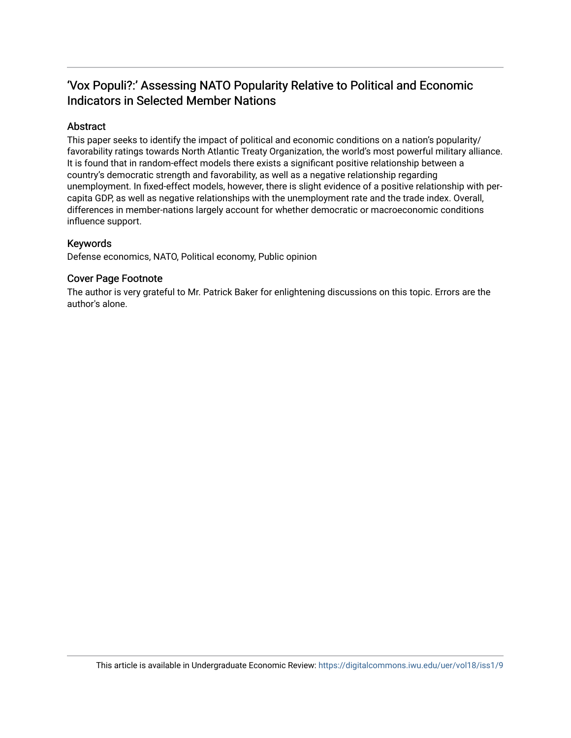## 'Vox Populi?:' Assessing NATO Popularity Relative to Political and Economic Indicators in Selected Member Nations

## Abstract

This paper seeks to identify the impact of political and economic conditions on a nation's popularity/ favorability ratings towards North Atlantic Treaty Organization, the world's most powerful military alliance. It is found that in random-effect models there exists a significant positive relationship between a country's democratic strength and favorability, as well as a negative relationship regarding unemployment. In fixed-effect models, however, there is slight evidence of a positive relationship with percapita GDP, as well as negative relationships with the unemployment rate and the trade index. Overall, differences in member-nations largely account for whether democratic or macroeconomic conditions influence support.

## Keywords

Defense economics, NATO, Political economy, Public opinion

## Cover Page Footnote

The author is very grateful to Mr. Patrick Baker for enlightening discussions on this topic. Errors are the author's alone.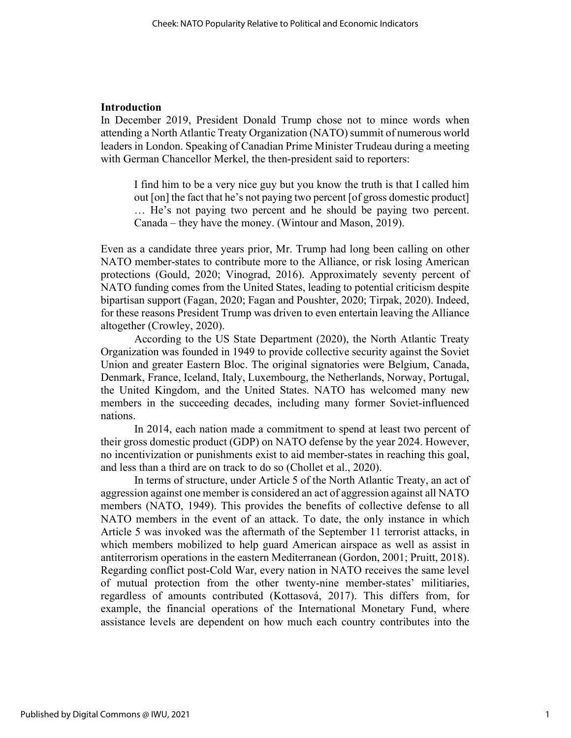#### Introduction

In December 2019, President Donald Trump chose not to mince words when attending a North Atlantic Treaty Organization (NATO) summit of numerous world leaders in London. Speaking of Canadian Prime Minister Trudeau during a meeting with German Chancellor Merkel, the then-president said to reporters:

I find him to be a very nice guy but you know the truth is that I called him out [on] the fact that he's not paying two percent [of gross domestic product] … He's not paying two percent and he should be paying two percent. Canada – they have the money. (Wintour and Mason, 2019).

Even as a candidate three years prior, Mr. Trump had long been calling on other NATO member-states to contribute more to the Alliance, or risk losing American protections (Gould, 2020; Vinograd, 2016). Approximately seventy percent of NATO funding comes from the United States, leading to potential criticism despite bipartisan support (Fagan, 2020; Fagan and Poushter, 2020; Tirpak, 2020). Indeed, for these reasons President Trump was driven to even entertain leaving the Alliance altogether (Crowley, 2020).

 According to the US State Department (2020), the North Atlantic Treaty Organization was founded in 1949 to provide collective security against the Soviet Union and greater Eastern Bloc. The original signatories were Belgium, Canada, Denmark, France, Iceland, Italy, Luxembourg, the Netherlands, Norway, Portugal, the United Kingdom, and the United States. NATO has welcomed many new members in the succeeding decades, including many former Soviet-influenced nations.

 In 2014, each nation made a commitment to spend at least two percent of their gross domestic product (GDP) on NATO defense by the year 2024. However, no incentivization or punishments exist to aid member-states in reaching this goal, and less than a third are on track to do so (Chollet et al., 2020).

 In terms of structure, under Article 5 of the North Atlantic Treaty, an act of aggression against one member is considered an act of aggression against all NATO members (NATO, 1949). This provides the benefits of collective defense to all NATO members in the event of an attack. To date, the only instance in which Article 5 was invoked was the aftermath of the September 11 terrorist attacks, in which members mobilized to help guard American airspace as well as assist in antiterrorism operations in the eastern Mediterranean (Gordon, 2001; Pruitt, 2018). Regarding conflict post-Cold War, every nation in NATO receives the same level of mutual protection from the other twenty-nine member-states' militiaries, regardless of amounts contributed (Kottasová, 2017). This differs from, for example, the financial operations of the International Monetary Fund, where assistance levels are dependent on how much each country contributes into the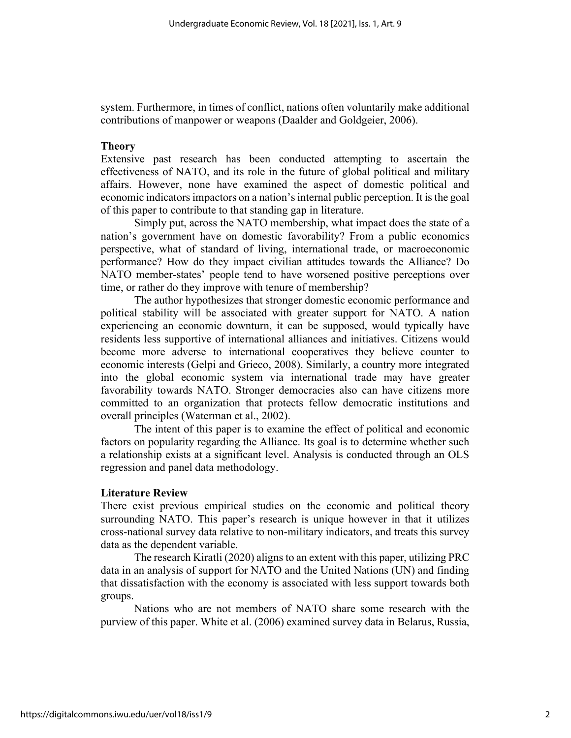system. Furthermore, in times of conflict, nations often voluntarily make additional contributions of manpower or weapons (Daalder and Goldgeier, 2006).

#### Theory

Extensive past research has been conducted attempting to ascertain the effectiveness of NATO, and its role in the future of global political and military affairs. However, none have examined the aspect of domestic political and economic indicators impactors on a nation's internal public perception. It is the goal of this paper to contribute to that standing gap in literature.

 Simply put, across the NATO membership, what impact does the state of a nation's government have on domestic favorability? From a public economics perspective, what of standard of living, international trade, or macroeconomic performance? How do they impact civilian attitudes towards the Alliance? Do NATO member-states' people tend to have worsened positive perceptions over time, or rather do they improve with tenure of membership?

 The author hypothesizes that stronger domestic economic performance and political stability will be associated with greater support for NATO. A nation experiencing an economic downturn, it can be supposed, would typically have residents less supportive of international alliances and initiatives. Citizens would become more adverse to international cooperatives they believe counter to economic interests (Gelpi and Grieco, 2008). Similarly, a country more integrated into the global economic system via international trade may have greater favorability towards NATO. Stronger democracies also can have citizens more committed to an organization that protects fellow democratic institutions and overall principles (Waterman et al., 2002).

 The intent of this paper is to examine the effect of political and economic factors on popularity regarding the Alliance. Its goal is to determine whether such a relationship exists at a significant level. Analysis is conducted through an OLS regression and panel data methodology.

#### Literature Review

There exist previous empirical studies on the economic and political theory surrounding NATO. This paper's research is unique however in that it utilizes cross-national survey data relative to non-military indicators, and treats this survey data as the dependent variable.

 The research Kiratli (2020) aligns to an extent with this paper, utilizing PRC data in an analysis of support for NATO and the United Nations (UN) and finding that dissatisfaction with the economy is associated with less support towards both groups.

 Nations who are not members of NATO share some research with the purview of this paper. White et al. (2006) examined survey data in Belarus, Russia,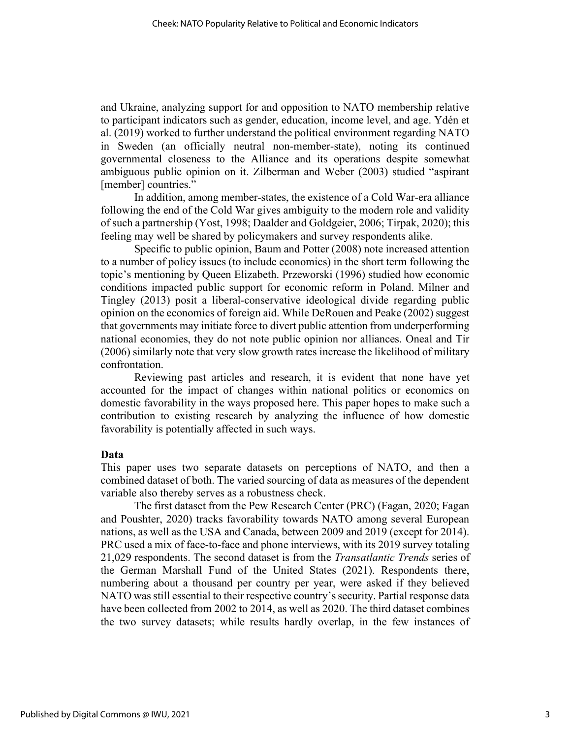and Ukraine, analyzing support for and opposition to NATO membership relative to participant indicators such as gender, education, income level, and age. Ydén et al. (2019) worked to further understand the political environment regarding NATO in Sweden (an officially neutral non-member-state), noting its continued governmental closeness to the Alliance and its operations despite somewhat ambiguous public opinion on it. Zilberman and Weber (2003) studied "aspirant [member] countries."

 In addition, among member-states, the existence of a Cold War-era alliance following the end of the Cold War gives ambiguity to the modern role and validity of such a partnership (Yost, 1998; Daalder and Goldgeier, 2006; Tirpak, 2020); this feeling may well be shared by policymakers and survey respondents alike.

 Specific to public opinion, Baum and Potter (2008) note increased attention to a number of policy issues (to include economics) in the short term following the topic's mentioning by Queen Elizabeth. Przeworski (1996) studied how economic conditions impacted public support for economic reform in Poland. Milner and Tingley (2013) posit a liberal-conservative ideological divide regarding public opinion on the economics of foreign aid. While DeRouen and Peake (2002) suggest that governments may initiate force to divert public attention from underperforming national economies, they do not note public opinion nor alliances. Oneal and Tir (2006) similarly note that very slow growth rates increase the likelihood of military confrontation.

 Reviewing past articles and research, it is evident that none have yet accounted for the impact of changes within national politics or economics on domestic favorability in the ways proposed here. This paper hopes to make such a contribution to existing research by analyzing the influence of how domestic favorability is potentially affected in such ways.

#### Data

This paper uses two separate datasets on perceptions of NATO, and then a combined dataset of both. The varied sourcing of data as measures of the dependent variable also thereby serves as a robustness check.

 The first dataset from the Pew Research Center (PRC) (Fagan, 2020; Fagan and Poushter, 2020) tracks favorability towards NATO among several European nations, as well as the USA and Canada, between 2009 and 2019 (except for 2014). PRC used a mix of face-to-face and phone interviews, with its 2019 survey totaling 21,029 respondents. The second dataset is from the Transatlantic Trends series of the German Marshall Fund of the United States (2021). Respondents there, numbering about a thousand per country per year, were asked if they believed NATO was still essential to their respective country's security. Partial response data have been collected from 2002 to 2014, as well as 2020. The third dataset combines the two survey datasets; while results hardly overlap, in the few instances of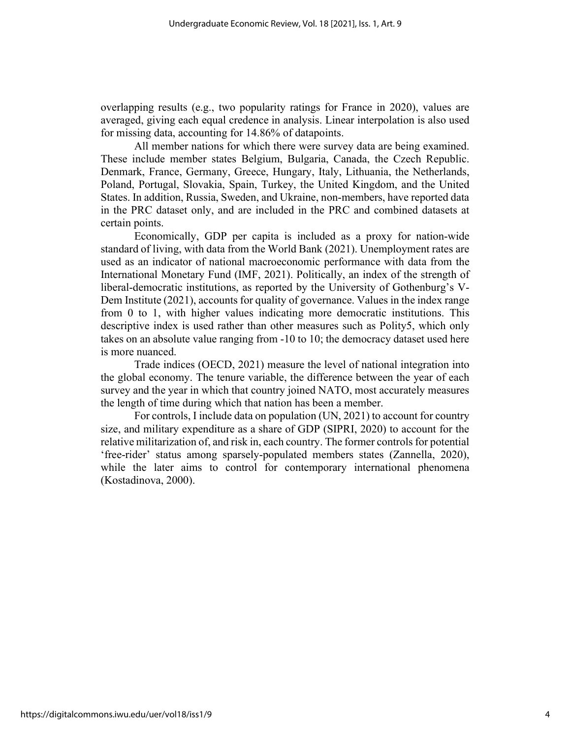overlapping results (e.g., two popularity ratings for France in 2020), values are averaged, giving each equal credence in analysis. Linear interpolation is also used for missing data, accounting for 14.86% of datapoints.

 All member nations for which there were survey data are being examined. These include member states Belgium, Bulgaria, Canada, the Czech Republic. Denmark, France, Germany, Greece, Hungary, Italy, Lithuania, the Netherlands, Poland, Portugal, Slovakia, Spain, Turkey, the United Kingdom, and the United States. In addition, Russia, Sweden, and Ukraine, non-members, have reported data in the PRC dataset only, and are included in the PRC and combined datasets at certain points.

 Economically, GDP per capita is included as a proxy for nation-wide standard of living, with data from the World Bank (2021). Unemployment rates are used as an indicator of national macroeconomic performance with data from the International Monetary Fund (IMF, 2021). Politically, an index of the strength of liberal-democratic institutions, as reported by the University of Gothenburg's V-Dem Institute (2021), accounts for quality of governance. Values in the index range from 0 to 1, with higher values indicating more democratic institutions. This descriptive index is used rather than other measures such as Polity5, which only takes on an absolute value ranging from -10 to 10; the democracy dataset used here is more nuanced.

 Trade indices (OECD, 2021) measure the level of national integration into the global economy. The tenure variable, the difference between the year of each survey and the year in which that country joined NATO, most accurately measures the length of time during which that nation has been a member.

 For controls, I include data on population (UN, 2021) to account for country size, and military expenditure as a share of GDP (SIPRI, 2020) to account for the relative militarization of, and risk in, each country. The former controls for potential 'free-rider' status among sparsely-populated members states (Zannella, 2020), while the later aims to control for contemporary international phenomena (Kostadinova, 2000).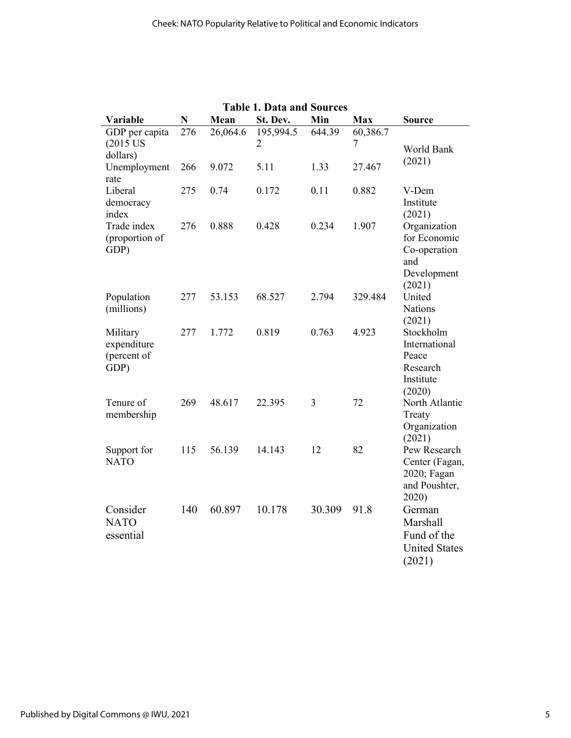| <b>Table 1. Data and Sources</b>               |     |          |                             |        |               |                                                                              |
|------------------------------------------------|-----|----------|-----------------------------|--------|---------------|------------------------------------------------------------------------------|
| Variable                                       | N   | Mean     | St. Dev.                    | Min    | <b>Max</b>    | <b>Source</b>                                                                |
| GDP per capita<br>$(2015$ US<br>dollars)       | 276 | 26,064.6 | 195,994.5<br>$\overline{2}$ | 644.39 | 60,386.7<br>7 | World Bank                                                                   |
| Unemployment<br>rate                           | 266 | 9.072    | 5.11                        | 1.33   | 27.467        | (2021)                                                                       |
| Liberal<br>democracy<br>index                  | 275 | 0.74     | 0.172                       | 0.11   | 0.882         | V-Dem<br>Institute<br>(2021)                                                 |
| Trade index<br>(proportion of<br>GDP)          | 276 | 0.888    | 0.428                       | 0.234  | 1.907         | Organization<br>for Economic<br>Co-operation<br>and<br>Development<br>(2021) |
| Population<br>(millions)                       | 277 | 53.153   | 68.527                      | 2.794  | 329.484       | United<br><b>Nations</b><br>(2021)                                           |
| Military<br>expenditure<br>(percent of<br>GDP) | 277 | 1.772    | 0.819                       | 0.763  | 4.923         | Stockholm<br>International<br>Peace<br>Research<br>Institute<br>(2020)       |
| Tenure of<br>membership                        | 269 | 48.617   | 22.395                      | 3      | 72            | North Atlantic<br>Treaty<br>Organization<br>(2021)                           |
| Support for<br><b>NATO</b>                     | 115 | 56.139   | 14.143                      | 12     | 82            | Pew Research<br>Center (Fagan,<br>2020; Fagan<br>and Poushter,<br>2020)      |
| Consider<br><b>NATO</b><br>essential           | 140 | 60.897   | 10.178                      | 30.309 | 91.8          | German<br>Marshall<br>Fund of the<br><b>United States</b><br>(2021)          |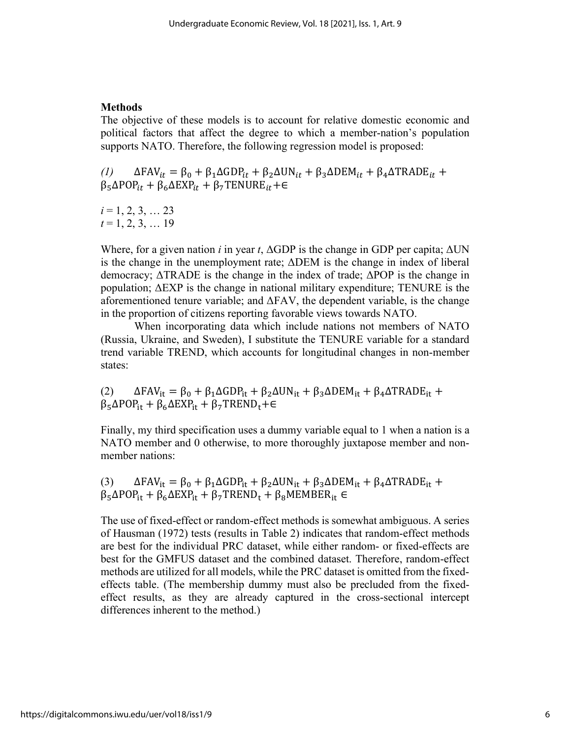## Methods

The objective of these models is to account for relative domestic economic and political factors that affect the degree to which a member-nation's population supports NATO. Therefore, the following regression model is proposed:

(1)  $\Delta FAV_{it} = \beta_0 + \beta_1 \Delta GDP_{it} + \beta_2 \Delta UN_{it} + \beta_3 \Delta DEM_{it} + \beta_4 \Delta TRADE_{it} +$  $\beta_5 \Delta POP_{it} + \beta_6 \Delta EXP_{it} + \beta_7 TENURE_{it} + \epsilon$ 

 $i = 1, 2, 3, \ldots 23$  $t = 1, 2, 3, \ldots 19$ 

Where, for a given nation i in year t,  $\Delta GDP$  is the change in GDP per capita;  $\Delta UN$ is the change in the unemployment rate; ΔDEM is the change in index of liberal democracy; ΔTRADE is the change in the index of trade; ΔPOP is the change in population; ΔEXP is the change in national military expenditure; TENURE is the aforementioned tenure variable; and  $\Delta$ FAV, the dependent variable, is the change in the proportion of citizens reporting favorable views towards NATO.

 When incorporating data which include nations not members of NATO (Russia, Ukraine, and Sweden), I substitute the TENURE variable for a standard trend variable TREND, which accounts for longitudinal changes in non-member states:

(2)  $\Delta FAV_{it} = \beta_0 + \beta_1 \Delta GDP_{it} + \beta_2 \Delta UN_{it} + \beta_3 \Delta DEM_{it} + \beta_4 \Delta TRADE_{it} +$  $\beta_5 \Delta POP_{it} + \beta_6 \Delta EXP_{it} + \beta_7 TREND_t + \epsilon$ 

Finally, my third specification uses a dummy variable equal to 1 when a nation is a NATO member and 0 otherwise, to more thoroughly juxtapose member and nonmember nations:

(3)  $\Delta FAV_{it} = \beta_0 + \beta_1 \Delta GDP_{it} + \beta_2 \Delta UN_{it} + \beta_3 \Delta DEM_{it} + \beta_4 \Delta TRADE_{it} +$  $\beta_5 \Delta POP_{it} + \beta_6 \Delta EXP_{it} + \beta_7 TREND_t + \beta_8 MEMBER_{it} \in$ 

The use of fixed-effect or random-effect methods is somewhat ambiguous. A series of Hausman (1972) tests (results in Table 2) indicates that random-effect methods are best for the individual PRC dataset, while either random- or fixed-effects are best for the GMFUS dataset and the combined dataset. Therefore, random-effect methods are utilized for all models, while the PRC dataset is omitted from the fixedeffects table. (The membership dummy must also be precluded from the fixedeffect results, as they are already captured in the cross-sectional intercept differences inherent to the method.)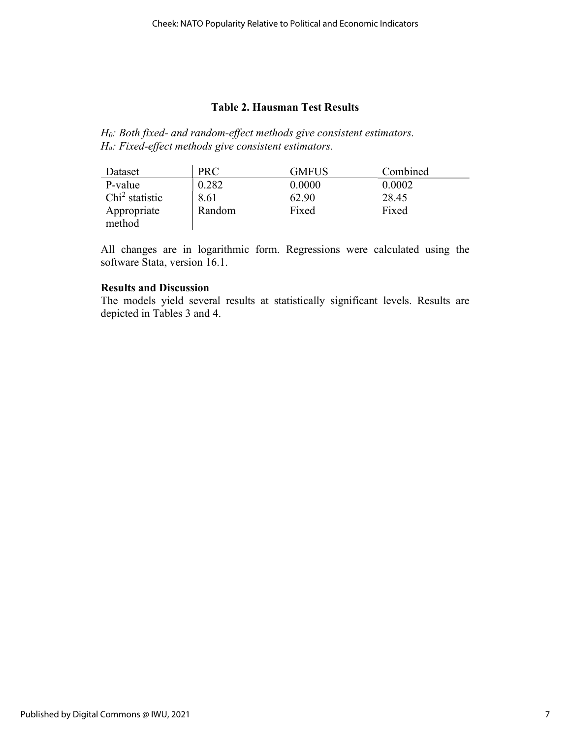## Table 2. Hausman Test Results

H<sub>0</sub>: Both fixed- and random-effect methods give consistent estimators. Ha: Fixed-effect methods give consistent estimators.

| Dataset          | <b>PRC</b> | GMFUS  | Combined |
|------------------|------------|--------|----------|
| P-value          | 0.282      | 0.0000 | 0.0002   |
| $Chi2$ statistic | 8.61       | 62.90  | 28.45    |
| Appropriate      | Random     | Fixed  | Fixed    |
| method           |            |        |          |

All changes are in logarithmic form. Regressions were calculated using the software Stata, version 16.1.

## Results and Discussion

The models yield several results at statistically significant levels. Results are depicted in Tables 3 and 4.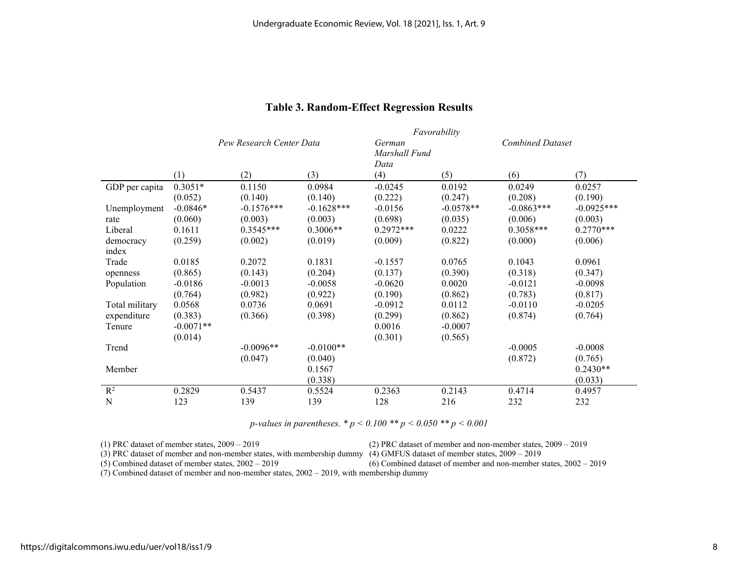|                |             | Favorability             |              |               |                                   |              |              |
|----------------|-------------|--------------------------|--------------|---------------|-----------------------------------|--------------|--------------|
|                |             | Pew Research Center Data |              |               | <b>Combined Dataset</b><br>German |              |              |
|                |             |                          |              | Marshall Fund |                                   |              |              |
|                | (1)         | (2)                      | (3)          | Data<br>(4)   | (5)                               | (6)          | (7)          |
|                |             |                          |              |               |                                   |              |              |
| GDP per capita | $0.3051*$   | 0.1150                   | 0.0984       | $-0.0245$     | 0.0192                            | 0.0249       | 0.0257       |
|                | (0.052)     | (0.140)                  | (0.140)      | (0.222)       | (0.247)                           | (0.208)      | (0.190)      |
| Unemployment   | $-0.0846*$  | $-0.1576***$             | $-0.1628***$ | $-0.0156$     | $-0.0578**$                       | $-0.0863***$ | $-0.0925***$ |
| rate           | (0.060)     | (0.003)                  | (0.003)      | (0.698)       | (0.035)                           | (0.006)      | (0.003)      |
| Liberal        | 0.1611      | $0.3545***$              | $0.3006**$   | $0.2972***$   | 0.0222                            | $0.3058***$  | $0.2770***$  |
| democracy      | (0.259)     | (0.002)                  | (0.019)      | (0.009)       | (0.822)                           | (0.000)      | (0.006)      |
| index          |             |                          |              |               |                                   |              |              |
| Trade          | 0.0185      | 0.2072                   | 0.1831       | $-0.1557$     | 0.0765                            | 0.1043       | 0.0961       |
| openness       | (0.865)     | (0.143)                  | (0.204)      | (0.137)       | (0.390)                           | (0.318)      | (0.347)      |
| Population     | $-0.0186$   | $-0.0013$                | $-0.0058$    | $-0.0620$     | 0.0020                            | $-0.0121$    | $-0.0098$    |
|                | (0.764)     | (0.982)                  | (0.922)      | (0.190)       | (0.862)                           | (0.783)      | (0.817)      |
| Total military | 0.0568      | 0.0736                   | 0.0691       | $-0.0912$     | 0.0112                            | $-0.0110$    | $-0.0205$    |
| expenditure    | (0.383)     | (0.366)                  | (0.398)      | (0.299)       | (0.862)                           | (0.874)      | (0.764)      |
| Tenure         | $-0.0071**$ |                          |              | 0.0016        | $-0.0007$                         |              |              |
|                | (0.014)     |                          |              | (0.301)       | (0.565)                           |              |              |
| Trend          |             | $-0.0096**$              | $-0.0100**$  |               |                                   | $-0.0005$    | $-0.0008$    |
|                |             | (0.047)                  | (0.040)      |               |                                   | (0.872)      | (0.765)      |
| Member         |             |                          | 0.1567       |               |                                   |              | $0.2430**$   |
|                |             |                          | (0.338)      |               |                                   |              | (0.033)      |
| $R^2$          | 0.2829      | 0.5437                   | 0.5524       | 0.2363        | 0.2143                            | 0.4714       | 0.4957       |
| N              | 123         | 139                      | 139          | 128           | 216                               | 232          | 232          |

## Table 3. Random-Effect Regression Results

p-values in parentheses. \*  $p < 0.100$  \*\*  $p < 0.050$  \*\*  $p < 0.001$ 

(1) PRC dataset of member states, 2009 – 2019 (2) PRC dataset of member and non-member states, 2009 – 2019

(3) PRC dataset of member and non-member states, with membership dummy (4) GMFUS dataset of member states,  $2009 - 2019$ <br>(5) Combined dataset of member states,  $2002 - 2019$  (6) Combined dataset of member and non-member sta

 $(6)$  Combined dataset of member and non-member states,  $2002 - 2019$ 

(7) Combined dataset of member and non-member states, 2002 – 2019, with membership dummy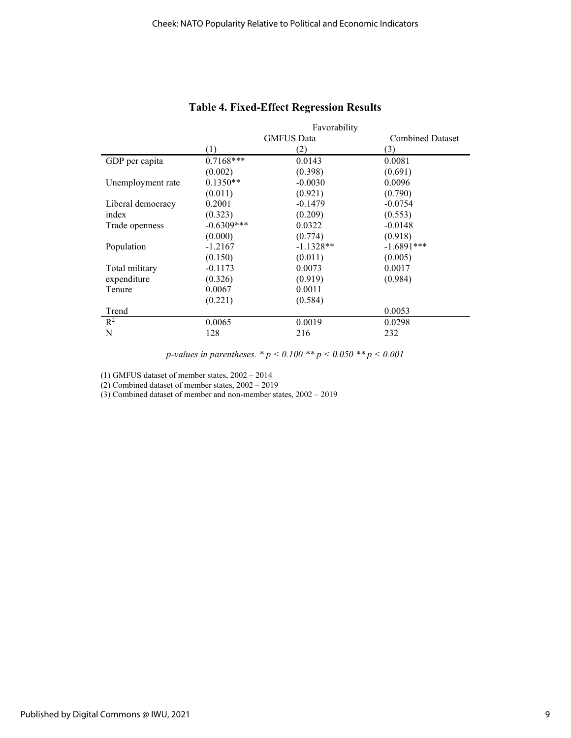|                   | Favorability      |             |                         |  |
|-------------------|-------------------|-------------|-------------------------|--|
|                   | <b>GMFUS Data</b> |             | <b>Combined Dataset</b> |  |
|                   | (1)               | (2)         | (3)                     |  |
| GDP per capita    | $0.7168***$       | 0.0143      | 0.0081                  |  |
|                   | (0.002)           | (0.398)     | (0.691)                 |  |
| Unemployment rate | $0.1350**$        | $-0.0030$   | 0.0096                  |  |
|                   | (0.011)           | (0.921)     | (0.790)                 |  |
| Liberal democracy | 0.2001            | $-0.1479$   | $-0.0754$               |  |
| index             | (0.323)           | (0.209)     | (0.553)                 |  |
| Trade openness    | $-0.6309***$      | 0.0322      | $-0.0148$               |  |
|                   | (0.000)           | (0.774)     | (0.918)                 |  |
| Population        | $-1.2167$         | $-1.1328**$ | $-1.6891***$            |  |
|                   | (0.150)           | (0.011)     | (0.005)                 |  |
| Total military    | $-0.1173$         | 0.0073      | 0.0017                  |  |
| expenditure       | (0.326)           | (0.919)     | (0.984)                 |  |
| Tenure            | 0.0067            | 0.0011      |                         |  |
|                   | (0.221)           | (0.584)     |                         |  |
| Trend             |                   |             | 0.0053                  |  |
| $\mathbb{R}^2$    | 0.0065            | 0.0019      | 0.0298                  |  |
| N                 | 128               | 216         | 232                     |  |
|                   |                   |             |                         |  |

## Table 4. Fixed-Effect Regression Results

p-values in parentheses.  $* p < 0.100 ** p < 0.050 ** p < 0.001$ 

(1) GMFUS dataset of member states, 2002 – 2014

(2) Combined dataset of member states, 2002 – 2019

(3) Combined dataset of member and non-member states, 2002 – 2019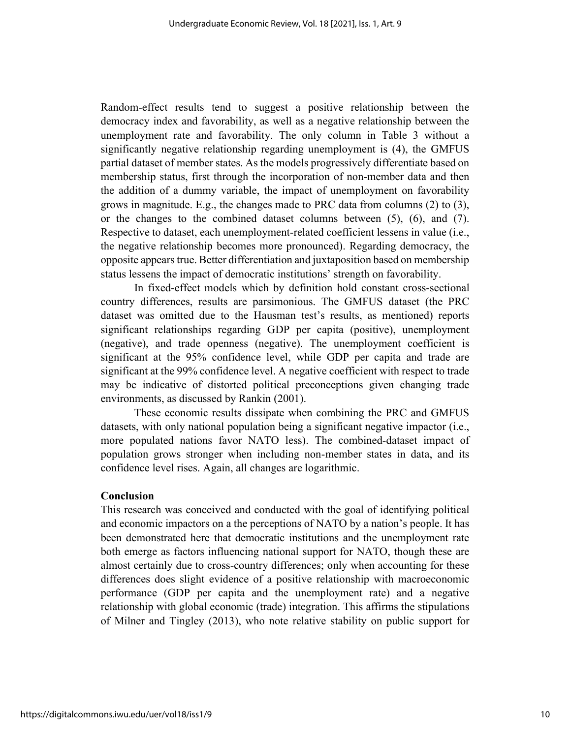Random-effect results tend to suggest a positive relationship between the democracy index and favorability, as well as a negative relationship between the unemployment rate and favorability. The only column in Table 3 without a significantly negative relationship regarding unemployment is (4), the GMFUS partial dataset of member states. As the models progressively differentiate based on membership status, first through the incorporation of non-member data and then the addition of a dummy variable, the impact of unemployment on favorability grows in magnitude. E.g., the changes made to PRC data from columns (2) to (3), or the changes to the combined dataset columns between (5), (6), and (7). Respective to dataset, each unemployment-related coefficient lessens in value (i.e., the negative relationship becomes more pronounced). Regarding democracy, the opposite appears true. Better differentiation and juxtaposition based on membership status lessens the impact of democratic institutions' strength on favorability.

 In fixed-effect models which by definition hold constant cross-sectional country differences, results are parsimonious. The GMFUS dataset (the PRC dataset was omitted due to the Hausman test's results, as mentioned) reports significant relationships regarding GDP per capita (positive), unemployment (negative), and trade openness (negative). The unemployment coefficient is significant at the 95% confidence level, while GDP per capita and trade are significant at the 99% confidence level. A negative coefficient with respect to trade may be indicative of distorted political preconceptions given changing trade environments, as discussed by Rankin (2001).

These economic results dissipate when combining the PRC and GMFUS datasets, with only national population being a significant negative impactor (i.e., more populated nations favor NATO less). The combined-dataset impact of population grows stronger when including non-member states in data, and its confidence level rises. Again, all changes are logarithmic.

#### Conclusion

This research was conceived and conducted with the goal of identifying political and economic impactors on a the perceptions of NATO by a nation's people. It has been demonstrated here that democratic institutions and the unemployment rate both emerge as factors influencing national support for NATO, though these are almost certainly due to cross-country differences; only when accounting for these differences does slight evidence of a positive relationship with macroeconomic performance (GDP per capita and the unemployment rate) and a negative relationship with global economic (trade) integration. This affirms the stipulations of Milner and Tingley (2013), who note relative stability on public support for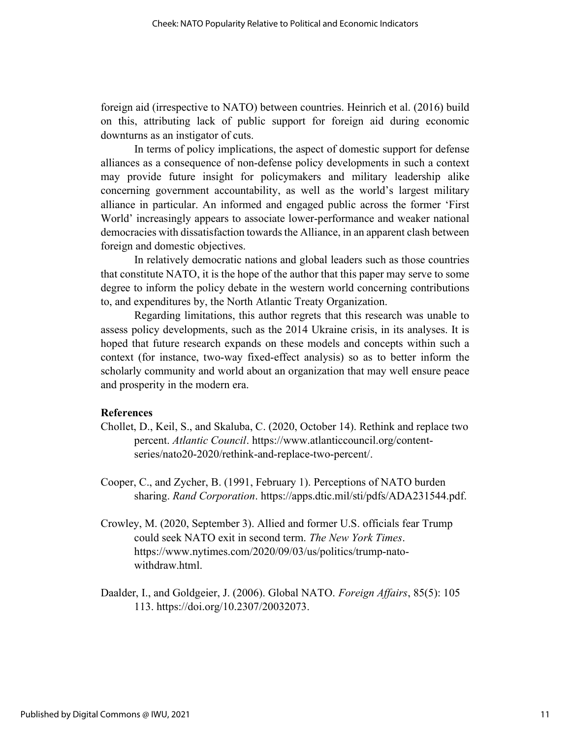foreign aid (irrespective to NATO) between countries. Heinrich et al. (2016) build on this, attributing lack of public support for foreign aid during economic downturns as an instigator of cuts.

 In terms of policy implications, the aspect of domestic support for defense alliances as a consequence of non-defense policy developments in such a context may provide future insight for policymakers and military leadership alike concerning government accountability, as well as the world's largest military alliance in particular. An informed and engaged public across the former 'First World' increasingly appears to associate lower-performance and weaker national democracies with dissatisfaction towards the Alliance, in an apparent clash between foreign and domestic objectives.

 In relatively democratic nations and global leaders such as those countries that constitute NATO, it is the hope of the author that this paper may serve to some degree to inform the policy debate in the western world concerning contributions to, and expenditures by, the North Atlantic Treaty Organization.

 Regarding limitations, this author regrets that this research was unable to assess policy developments, such as the 2014 Ukraine crisis, in its analyses. It is hoped that future research expands on these models and concepts within such a context (for instance, two-way fixed-effect analysis) so as to better inform the scholarly community and world about an organization that may well ensure peace and prosperity in the modern era.

#### References

- Chollet, D., Keil, S., and Skaluba, C. (2020, October 14). Rethink and replace two percent. Atlantic Council. https://www.atlanticcouncil.org/contentseries/nato20-2020/rethink-and-replace-two-percent/.
- Cooper, C., and Zycher, B. (1991, February 1). Perceptions of NATO burden sharing. Rand Corporation. https://apps.dtic.mil/sti/pdfs/ADA231544.pdf.
- Crowley, M. (2020, September 3). Allied and former U.S. officials fear Trump could seek NATO exit in second term. The New York Times. https://www.nytimes.com/2020/09/03/us/politics/trump-natowithdraw.html.
- Daalder, I., and Goldgeier, J. (2006). Global NATO. Foreign Affairs, 85(5): 105 113. https://doi.org/10.2307/20032073.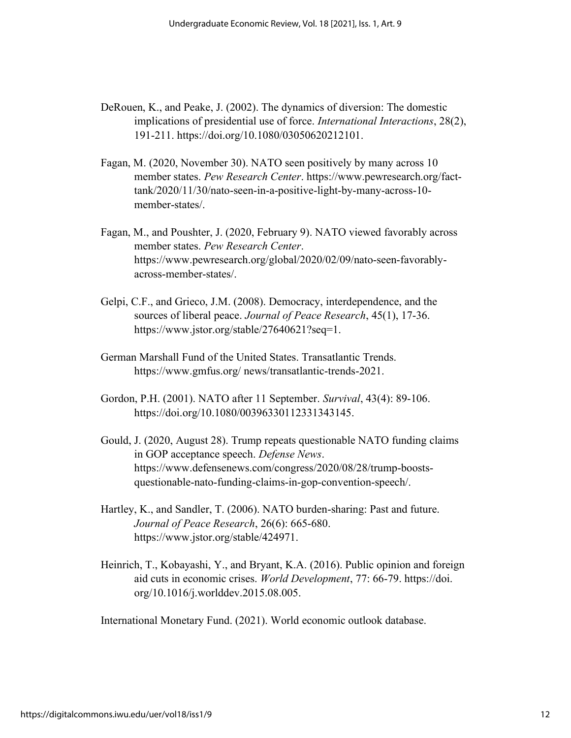- DeRouen, K., and Peake, J. (2002). The dynamics of diversion: The domestic implications of presidential use of force. International Interactions, 28(2), 191-211. https://doi.org/10.1080/03050620212101.
- Fagan, M. (2020, November 30). NATO seen positively by many across 10 member states. Pew Research Center. https://www.pewresearch.org/facttank/2020/11/30/nato-seen-in-a-positive-light-by-many-across-10 member-states/.
- Fagan, M., and Poushter, J. (2020, February 9). NATO viewed favorably across member states. Pew Research Center. https://www.pewresearch.org/global/2020/02/09/nato-seen-favorablyacross-member-states/.
- Gelpi, C.F., and Grieco, J.M. (2008). Democracy, interdependence, and the sources of liberal peace. Journal of Peace Research, 45(1), 17-36. https://www.jstor.org/stable/27640621?seq=1.
- German Marshall Fund of the United States. Transatlantic Trends. https://www.gmfus.org/ news/transatlantic-trends-2021.
- Gordon, P.H. (2001). NATO after 11 September. Survival, 43(4): 89-106. https://doi.org/10.1080/00396330112331343145.
- Gould, J. (2020, August 28). Trump repeats questionable NATO funding claims in GOP acceptance speech. Defense News. https://www.defensenews.com/congress/2020/08/28/trump-boostsquestionable-nato-funding-claims-in-gop-convention-speech/.
- Hartley, K., and Sandler, T. (2006). NATO burden-sharing: Past and future. Journal of Peace Research, 26(6): 665-680. https://www.jstor.org/stable/424971.
- Heinrich, T., Kobayashi, Y., and Bryant, K.A. (2016). Public opinion and foreign aid cuts in economic crises. World Development, 77: 66-79. https://doi. org/10.1016/j.worlddev.2015.08.005.

International Monetary Fund. (2021). World economic outlook database.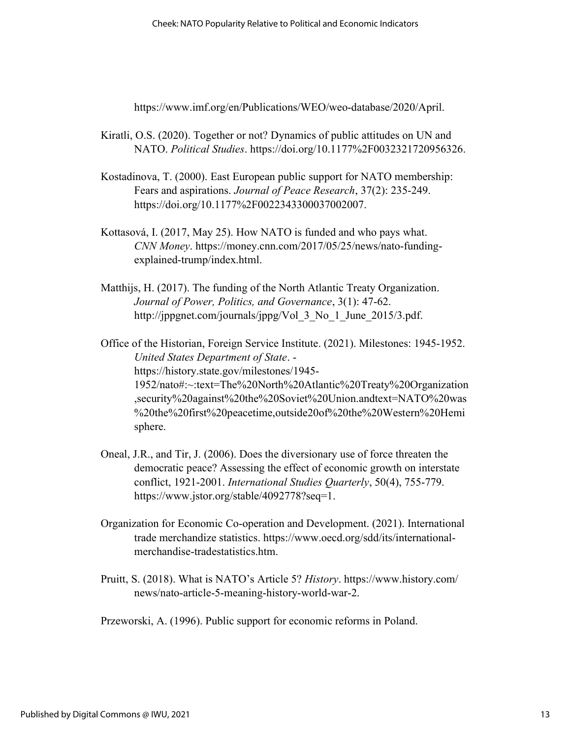https://www.imf.org/en/Publications/WEO/weo-database/2020/April.

- Kiratli, O.S. (2020). Together or not? Dynamics of public attitudes on UN and NATO. Political Studies. https://doi.org/10.1177%2F0032321720956326.
- Kostadinova, T. (2000). East European public support for NATO membership: Fears and aspirations. Journal of Peace Research, 37(2): 235-249. https://doi.org/10.1177%2F0022343300037002007.
- Kottasová, I. (2017, May 25). How NATO is funded and who pays what. CNN Money. https://money.cnn.com/2017/05/25/news/nato-fundingexplained-trump/index.html.
- Matthijs, H. (2017). The funding of the North Atlantic Treaty Organization. Journal of Power, Politics, and Governance, 3(1): 47-62. http://jppgnet.com/journals/jppg/Vol 3 No 1 June 2015/3.pdf.

Office of the Historian, Foreign Service Institute. (2021). Milestones: 1945-1952. United States Department of State. https://history.state.gov/milestones/1945- 1952/nato#:~:text=The%20North%20Atlantic%20Treaty%20Organization ,security%20against%20the%20Soviet%20Union.andtext=NATO%20was %20the%20first%20peacetime,outside20of%20the%20Western%20Hemi sphere.

- Oneal, J.R., and Tir, J. (2006). Does the diversionary use of force threaten the democratic peace? Assessing the effect of economic growth on interstate conflict, 1921-2001. International Studies Quarterly, 50(4), 755-779. https://www.jstor.org/stable/4092778?seq=1.
- Organization for Economic Co-operation and Development. (2021). International trade merchandize statistics. https://www.oecd.org/sdd/its/internationalmerchandise-tradestatistics.htm.
- Pruitt, S. (2018). What is NATO's Article 5? History. https://www.history.com/ news/nato-article-5-meaning-history-world-war-2.
- Przeworski, A. (1996). Public support for economic reforms in Poland.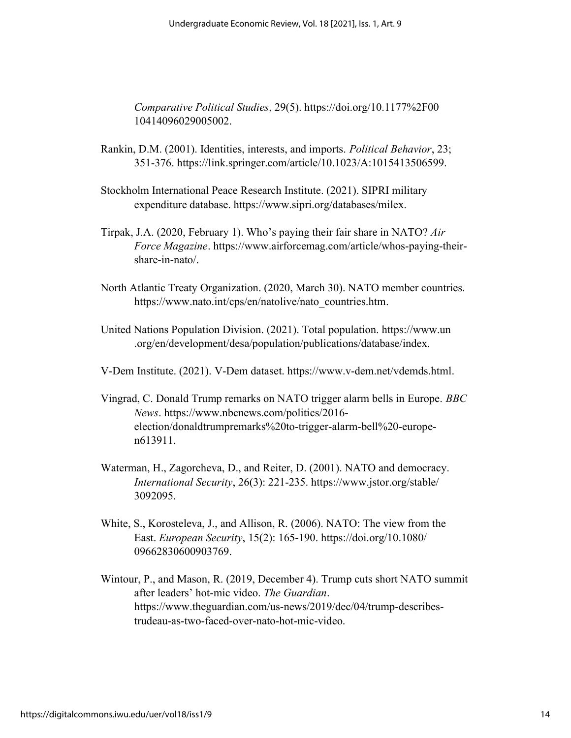Comparative Political Studies, 29(5). https://doi.org/10.1177%2F00 10414096029005002.

- Rankin, D.M. (2001). Identities, interests, and imports. Political Behavior, 23; 351-376. https://link.springer.com/article/10.1023/A:1015413506599.
- Stockholm International Peace Research Institute. (2021). SIPRI military expenditure database. https://www.sipri.org/databases/milex.
- Tirpak, J.A. (2020, February 1). Who's paying their fair share in NATO? Air Force Magazine. https://www.airforcemag.com/article/whos-paying-theirshare-in-nato/.
- North Atlantic Treaty Organization. (2020, March 30). NATO member countries. https://www.nato.int/cps/en/natolive/nato\_countries.htm.
- United Nations Population Division. (2021). Total population. https://www.un .org/en/development/desa/population/publications/database/index.
- V-Dem Institute. (2021). V-Dem dataset. https://www.v-dem.net/vdemds.html.
- Vingrad, C. Donald Trump remarks on NATO trigger alarm bells in Europe. BBC News. https://www.nbcnews.com/politics/2016 election/donaldtrumpremarks%20to-trigger-alarm-bell%20-europen613911.
- Waterman, H., Zagorcheva, D., and Reiter, D. (2001). NATO and democracy. International Security, 26(3): 221-235. https://www.jstor.org/stable/ 3092095.
- White, S., Korosteleva, J., and Allison, R. (2006). NATO: The view from the East. European Security, 15(2): 165-190. https://doi.org/10.1080/ 09662830600903769.
- Wintour, P., and Mason, R. (2019, December 4). Trump cuts short NATO summit after leaders' hot-mic video. The Guardian. https://www.theguardian.com/us-news/2019/dec/04/trump-describestrudeau-as-two-faced-over-nato-hot-mic-video.